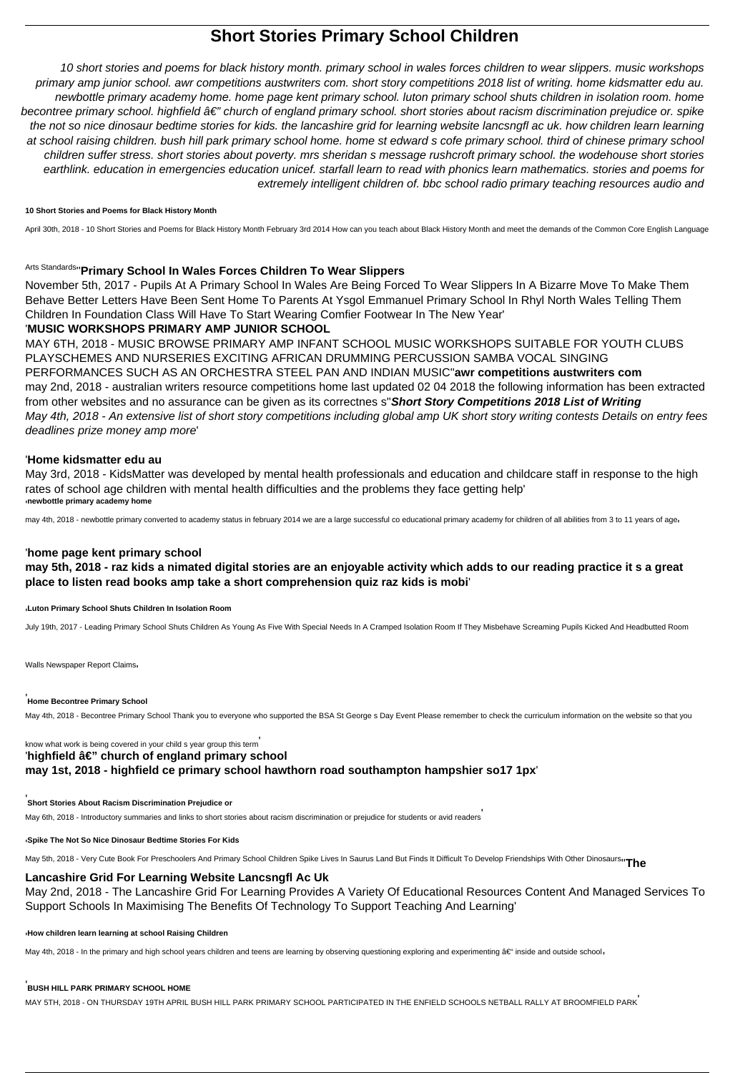# **Short Stories Primary School Children**

10 short stories and poems for black history month. primary school in wales forces children to wear slippers. music workshops primary amp junior school. awr competitions austwriters com. short story competitions 2018 list of writing. home kidsmatter edu au. newbottle primary academy home. home page kent primary school. luton primary school shuts children in isolation room. home becontree primary school. highfield â€" church of england primary school. short stories about racism discrimination prejudice or. spike the not so nice dinosaur bedtime stories for kids. the lancashire grid for learning website lancsngfl ac uk. how children learn learning at school raising children. bush hill park primary school home. home st edward s cofe primary school. third of chinese primary school children suffer stress. short stories about poverty. mrs sheridan s message rushcroft primary school. the wodehouse short stories earthlink. education in emergencies education unicef. starfall learn to read with phonics learn mathematics. stories and poems for extremely intelligent children of. bbc school radio primary teaching resources audio and

## **10 Short Stories and Poems for Black History Month**

April 30th, 2018 - 10 Short Stories and Poems for Black History Month February 3rd 2014 How can you teach about Black History Month and meet the demands of the Common Core English Language

# Arts Standards''**Primary School In Wales Forces Children To Wear Slippers**

November 5th, 2017 - Pupils At A Primary School In Wales Are Being Forced To Wear Slippers In A Bizarre Move To Make Them Behave Better Letters Have Been Sent Home To Parents At Ysgol Emmanuel Primary School In Rhyl North Wales Telling Them Children In Foundation Class Will Have To Start Wearing Comfier Footwear In The New Year'

# '**MUSIC WORKSHOPS PRIMARY AMP JUNIOR SCHOOL**

MAY 6TH, 2018 - MUSIC BROWSE PRIMARY AMP INFANT SCHOOL MUSIC WORKSHOPS SUITABLE FOR YOUTH CLUBS PLAYSCHEMES AND NURSERIES EXCITING AFRICAN DRUMMING PERCUSSION SAMBA VOCAL SINGING PERFORMANCES SUCH AS AN ORCHESTRA STEEL PAN AND INDIAN MUSIC''**awr competitions austwriters com** may 2nd, 2018 - australian writers resource competitions home last updated 02 04 2018 the following information has been extracted from other websites and no assurance can be given as its correctnes s''**Short Story Competitions 2018 List of Writing** May 4th, 2018 - An extensive list of short story competitions including global amp UK short story writing contests Details on entry fees deadlines prize money amp more'

# '**Home kidsmatter edu au**

May 3rd, 2018 - KidsMatter was developed by mental health professionals and education and childcare staff in response to the high rates of school age children with mental health difficulties and the problems they face getting help' '**newbottle primary academy home**

may 4th, 2018 - newbottle primary converted to academy status in february 2014 we are a large successful co educational primary academy for children of all abilities from 3 to 11 years of ager

# '**home page kent primary school**

**may 5th, 2018 - raz kids a nimated digital stories are an enjoyable activity which adds to our reading practice it s a great place to listen read books amp take a short comprehension quiz raz kids is mobi**'

## '**Luton Primary School Shuts Children In Isolation Room**

July 19th, 2017 - Leading Primary School Shuts Children As Young As Five With Special Needs In A Cramped Isolation Room If They Misbehave Screaming Pupils Kicked And Headbutted Room

Walls Newspaper Report Claims

#### '**Home Becontree Primary School**

May 4th, 2018 - Becontree Primary School Thank you to everyone who supported the BSA St George s Day Event Please remember to check the curriculum information on the website so that you

know what work is being covered in your child s year group this term' 'highfield â€" church of england primary school **may 1st, 2018 - highfield ce primary school hawthorn road southampton hampshier so17 1px**'

#### **Short Stories About Racism Discrimination Prejudice or**

May 6th, 2018 - Introductory summaries and links to short stories about racism discrimination or prejudice for students or avid readers'

#### '**Spike The Not So Nice Dinosaur Bedtime Stories For Kids**

May 5th, 2018 - Very Cute Book For Preschoolers And Primary School Children Spike Lives In Saurus Land But Finds It Difficult To Develop Friendships With Other Dinosaurs''**The**

## **Lancashire Grid For Learning Website Lancsngfl Ac Uk**

May 2nd, 2018 - The Lancashire Grid For Learning Provides A Variety Of Educational Resources Content And Managed Services To Support Schools In Maximising The Benefits Of Technology To Support Teaching And Learning'

'**How children learn learning at school Raising Children**

May 4th, 2018 - In the primary and high school years children and teens are learning by observing questioning exploring and experimenting – inside and outside school<sub>1</sub>

#### '**BUSH HILL PARK PRIMARY SCHOOL HOME**

MAY 5TH, 2018 - ON THURSDAY 19TH APRIL BUSH HILL PARK PRIMARY SCHOOL PARTICIPATED IN THE ENFIELD SCHOOLS NETBALL RALLY AT BROOMFIELD PARK'